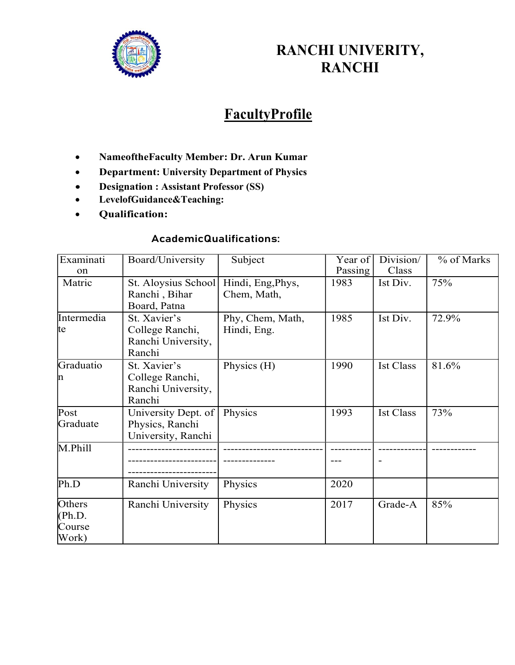

## RANCHI UNIVERITY, RANCHI

# **FacultyProfile**

- NameoftheFaculty Member: Dr. Arun Kumar
- Department: University Department of Physics
- Designation : Assistant Professor (SS)
- LevelofGuidance&Teaching:
- Qualification:

#### AcademicQualifications:

| Examinati<br>on                     | Board/University                                                | Subject                          | Year of<br>Passing | Division/<br>Class | % of Marks |
|-------------------------------------|-----------------------------------------------------------------|----------------------------------|--------------------|--------------------|------------|
| Matric                              | St. Aloysius School<br>Ranchi, Bihar<br>Board, Patna            | Hindi, Eng, Phys,<br>Chem, Math, | 1983               | Ist Div.           | 75%        |
| Intermedia<br>te                    | St. Xavier's<br>College Ranchi,<br>Ranchi University,<br>Ranchi | Phy, Chem, Math,<br>Hindi, Eng.  | 1985               | Ist Div.           | 72.9%      |
| Graduatio<br>m                      | St. Xavier's<br>College Ranchi,<br>Ranchi University,<br>Ranchi | Physics (H)                      | 1990               | <b>Ist Class</b>   | 81.6%      |
| Post<br>Graduate                    | University Dept. of<br>Physics, Ranchi<br>University, Ranchi    | Physics                          | 1993               | <b>Ist Class</b>   | 73%        |
| M.Phill                             |                                                                 |                                  |                    |                    |            |
| Ph.D                                | Ranchi University                                               | Physics                          | 2020               |                    |            |
| Others<br>(Ph.D.<br>Course<br>Work) | Ranchi University                                               | Physics                          | 2017               | Grade-A            | 85%        |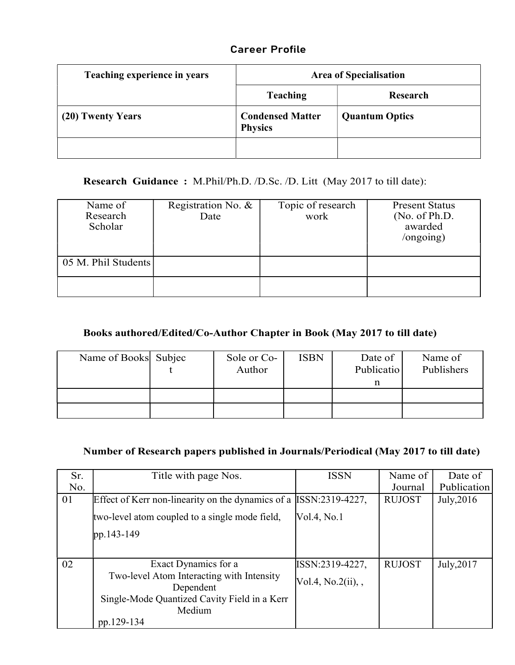### Career Profile

| Teaching experience in years | <b>Area of Specialisation</b>             |                       |  |  |
|------------------------------|-------------------------------------------|-----------------------|--|--|
|                              | <b>Teaching</b>                           | Research              |  |  |
| (20) Twenty Years            | <b>Condensed Matter</b><br><b>Physics</b> | <b>Quantum Optics</b> |  |  |
|                              |                                           |                       |  |  |

Research Guidance : M.Phil/Ph.D. /D.Sc. /D. Litt (May 2017 to till date):

| Name of<br>Research<br>Scholar | Registration No. &<br>Date | Topic of research<br>work | <b>Present Status</b><br>(No. of Ph.D.<br>awarded<br>$\log$ ongoing) |  |
|--------------------------------|----------------------------|---------------------------|----------------------------------------------------------------------|--|
| 05 M. Phil Students            |                            |                           |                                                                      |  |
|                                |                            |                           |                                                                      |  |

#### Books authored/Edited/Co-Author Chapter in Book (May 2017 to till date)

| Name of Books Subjec | Sole or Co-<br>Author | <b>ISBN</b> | Date of<br>Publicatio | Name of<br>Publishers |
|----------------------|-----------------------|-------------|-----------------------|-----------------------|
|                      |                       |             |                       |                       |
|                      |                       |             |                       |                       |

#### Number of Research papers published in Journals/Periodical (May 2017 to till date)

| Sr. | Title with page Nos.                                               | <b>ISSN</b>        | Name of       | Date of     |
|-----|--------------------------------------------------------------------|--------------------|---------------|-------------|
| No. |                                                                    |                    | Journal       | Publication |
| 01  | Effect of Kerr non-linearity on the dynamics of a [ISSN:2319-4227, |                    | <b>RUJOST</b> | July, 2016  |
|     | two-level atom coupled to a single mode field,                     | Vol.4, No.1        |               |             |
|     | $pp.143-149$                                                       |                    |               |             |
|     |                                                                    |                    |               |             |
| 02  | Exact Dynamics for a                                               | ISSN:2319-4227,    | <b>RUJOST</b> | July, 2017  |
|     | Two-level Atom Interacting with Intensity<br>Dependent             | Vol.4, No.2(ii), , |               |             |
|     | Single-Mode Quantized Cavity Field in a Kerr                       |                    |               |             |
|     | Medium                                                             |                    |               |             |
|     | pp.129-134                                                         |                    |               |             |